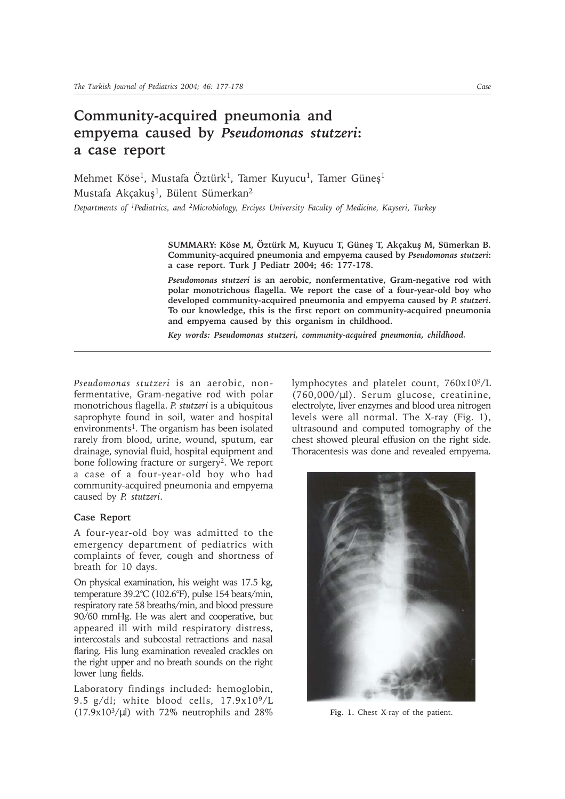## **Community-acquired pneumonia and empyema caused by** *Pseudomonas stutzeri***: a case report**

Mehmet Köse<sup>1</sup>, Mustafa Öztürk<sup>1</sup>, Tamer Kuyucu<sup>1</sup>, Tamer Güneş<sup>1</sup> Mustafa Akçakuş<sup>1</sup>, Bülent Sümerkan<sup>2</sup> *Departments of 1Pediatrics, and 2Microbiology, Erciyes University Faculty of Medicine, Kayseri, Turkey*

> **SUMMARY: Köse M, Öztürk M, Kuyucu T, Güneþ T, Akçakuþ M, Sümerkan B. Community-acquired pneumonia and empyema caused by** *Pseudomonas stutzeri***: a case report. Turk J Pediatr 2004; 46: 177-178.**

> *Pseudomonas stutzeri* **is an aerobic, nonfermentative, Gram-negative rod with polar monotrichous flagella. We report the case of a four-year-old boy who developed community-acquired pneumonia and empyema caused by** *P. stutzeri***. To our knowledge, this is the first report on community-acquired pneumonia and empyema caused by this organism in childhood.**

*Key words: Pseudomonas stutzeri, community-acquired pneumonia, childhood.*

*Pseudomonas stutzeri* is an aerobic, nonfermentative, Gram-negative rod with polar monotrichous flagella. *P. stutzeri* is a ubiquitous saprophyte found in soil, water and hospital environments<sup>1</sup>. The organism has been isolated rarely from blood, urine, wound, sputum, ear drainage, synovial fluid, hospital equipment and bone following fracture or surgery2. We report a case of a four-year-old boy who had community-acquired pneumonia and empyema caused by *P. stutzeri*.

## **Case Report**

A four-year-old boy was admitted to the emergency department of pediatrics with complaints of fever, cough and shortness of breath for 10 days.

On physical examination, his weight was 17.5 kg, temperature 39.2°C (102.6°F), pulse 154 beats/min, respiratory rate 58 breaths/min, and blood pressure 90/60 mmHg. He was alert and cooperative, but appeared ill with mild respiratory distress, intercostals and subcostal retractions and nasal flaring. His lung examination revealed crackles on the right upper and no breath sounds on the right lower lung fields.

Laboratory findings included: hemoglobin, 9.5 g/dl; white blood cells, 17.9x109/L  $(17.9x10<sup>3</sup>/\mu l)$  with 72% neutrophils and 28%

lymphocytes and platelet count,  $760x10^{9}/L$ (760,000/µl). Serum glucose, creatinine, electrolyte, liver enzymes and blood urea nitrogen levels were all normal. The X-ray (Fig. 1), ultrasound and computed tomography of the chest showed pleural effusion on the right side. Thoracentesis was done and revealed empyema.



**Fig. 1.** Chest X-ray of the patient.